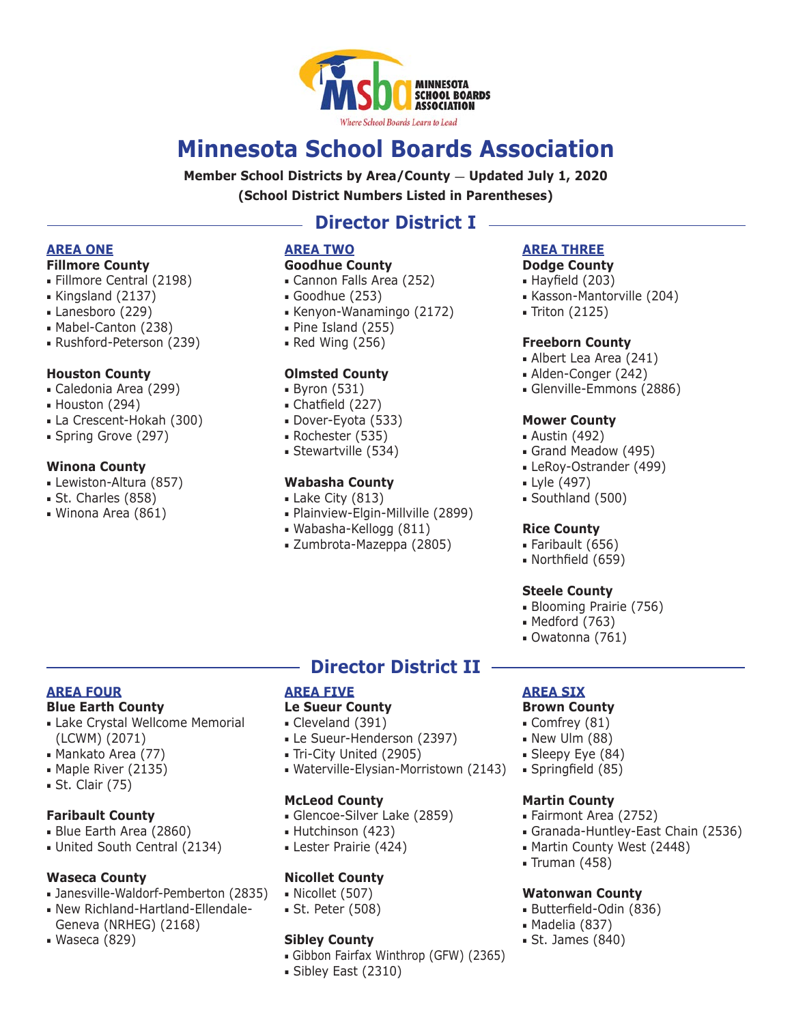

# **Minnesota School Boards Association**

**Member School Districts by Area/County — Updated July 1, 2020 (School District Numbers Listed in Parentheses)**

# **Director District I**

# **AREA ONE**

- **Fillmore County**
- Fillmore Central (2198)
- Kingsland (2137)
- Lanesboro (229)
- Mabel-Canton (238)
- Rushford-Peterson (239)

#### **Houston County**

- Caledonia Area (299)
- Houston (294)
- La Crescent-Hokah (300)
- Spring Grove (297)

#### **Winona County**

- Lewiston-Altura (857)
- St. Charles (858)
- Winona Area (861)

### **AREA TWO**

#### **Goodhue County**

- Cannon Falls Area (252)
- Goodhue (253)
- Kenyon-Wanamingo (2172)
- Pine Island (255)
- Red Wing (256)

### **Olmsted County**

- Byron (531)
- Chatfield (227)
- Dover-Eyota (533)
- Rochester (535)
- Stewartville (534)

### **Wabasha County**

- Lake City (813)
- Plainview-Elgin-Millville (2899)
- Wabasha-Kellogg (811)
- Zumbrota-Mazeppa (2805)

### **AREA THREE**

### **Dodge County**

- Hayfield (203)
- Kasson-Mantorville (204)
- Triton (2125)

#### **Freeborn County**

- Albert Lea Area (241)
- Alden-Conger (242)
- Glenville-Emmons (2886)

#### **Mower County**

- Austin (492)
- Grand Meadow (495)
- LeRoy-Ostrander (499)
- Lyle (497)
- Southland (500)

#### **Rice County**

- Faribault (656)
- Northfield (659)

#### **Steele County**

- Blooming Prairie (756)
- Medford (763)
- Owatonna (761)

### **AREA FOUR**

#### **Blue Earth County**

- Lake Crystal Wellcome Memorial (LCWM) (2071)
- Mankato Area (77)
- Maple River (2135)
- St. Clair (75)

#### **Faribault County**

- Blue Earth Area (2860)
- United South Central (2134)

#### **Waseca County**

- Janesville-Waldorf-Pemberton (2835)
- New Richland-Hartland-Ellendale-
- Geneva (NRHEG) (2168) ■ Waseca (829)

# **Director District II**

#### **AREA FIVE**

#### **Le Sueur County**

- Cleveland (391)
- Le Sueur-Henderson (2397)
- Tri-City United (2905)

#### ■ Waterville-Elysian-Morristown (2143)

#### **McLeod County**

- Glencoe-Silver Lake (2859)
- Hutchinson (423)
- Lester Prairie (424)

### **Nicollet County**

- Nicollet (507)
- St. Peter (508)

#### **Sibley County**

- Gibbon Fairfax Winthrop (GFW) (2365)
- Sibley East (2310)

### **AREA SIX**

#### **Brown County**

- Comfrey (81)
- New Ulm (88)
- Sleepy Eye (84)
- Springfield (85)

#### **Martin County**

■ Fairmont Area (2752)

**Watonwan County** ■ Butterfield-Odin (836)

■ Madelia (837) ■ St. James (840)

- Granada-Huntley-East Chain (2536)
- Martin County West (2448) ■ Truman (458)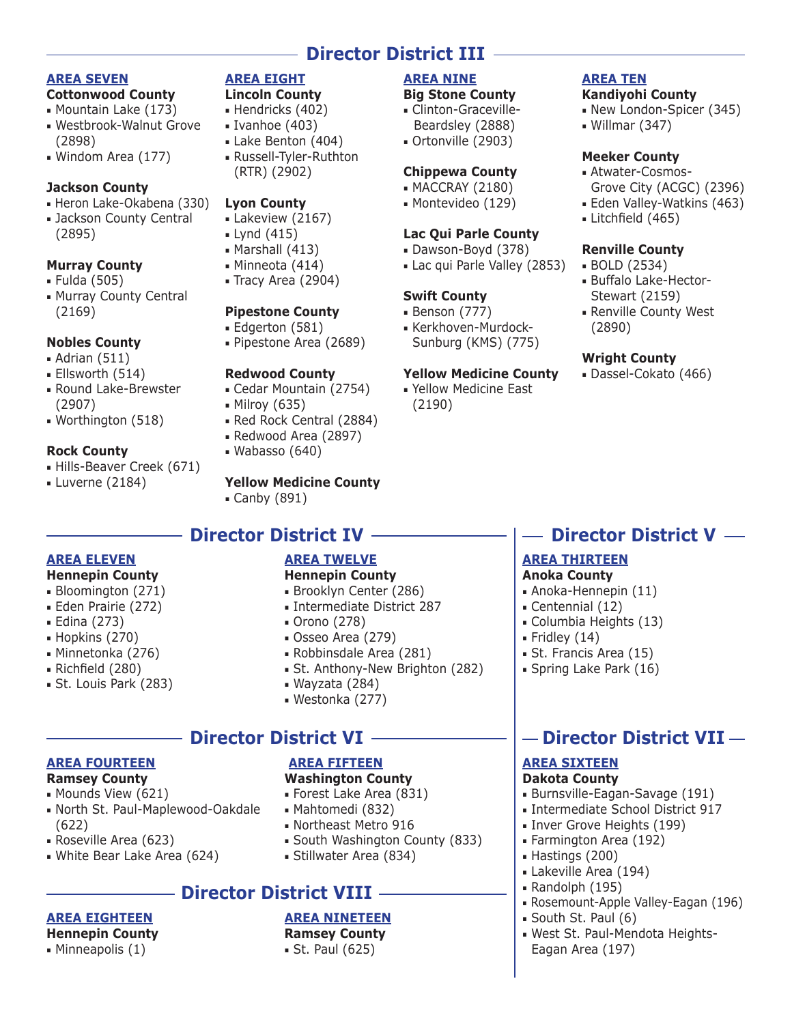# **Director District III**

**AREA NINE Big Stone County** ■ Clinton-Graceville-Beardsley (2888) ■ Ortonville (2903)

**Chippewa County** ■ MACCRAY (2180) ■ Montevideo (129)

**Lac Qui Parle County** ■ Dawson-Boyd (378) ■ Lac qui Parle Valley (2853)

■ Kerkhoven-Murdock-Sunburg (KMS) (775)

**Yellow Medicine County** ■ Yellow Medicine East

**Swift County** ■ Benson (777)

(2190)

#### **AREA SEVEN**

- **Cottonwood County**
- Mountain Lake (173)
- Westbrook-Walnut Grove (2898)
- Windom Area (177)

#### **Jackson County**

- Heron Lake-Okabena (330)
- Jackson County Central (2895)

### **Murray County**

- Fulda (505)
- Murray County Central (2169)

### **Nobles County**

- Adrian (511)
- Ellsworth (514)
- Round Lake-Brewster (2907)
- Worthington (518)

#### **Rock County**

- Hills-Beaver Creek (671)
- Luverne (2184)

### **AREA EIGHT**

#### **Lincoln County**

- Hendricks (402)
- Ivanhoe (403)
- Lake Benton (404)
- Russell-Tyler-Ruthton (RTR) (2902)

#### **Lyon County**

- Lakeview (2167)
- Lynd (415)
- Marshall (413)
- Minneota (414)
- Tracy Area (2904)

#### **Pipestone County**

- Edgerton (581)
- Pipestone Area (2689)

#### **Redwood County**

- Cedar Mountain (2754)
- Milroy (635)
- Red Rock Central (2884)
- Redwood Area (2897)
- Wabasso (640)

#### **Yellow Medicine County**

■ Canby (891)

# **Director District IV**

### **AREA ELEVEN**

- **Hennepin County**
- Bloomington (271)
- Eden Prairie (272)
- Edina (273)
- Hopkins (270)
- Minnetonka (276)

**AREA FOURTEEN Ramsey County** ■ Mounds View (621)

■ Roseville Area (623)

**AREA EIGHTEEN Hennepin County** ■ Minneapolis (1)

■ White Bear Lake Area (624)

(622)

■ North St. Paul-Maplewood-Oakdale

- Richfield (280)
- St. Louis Park (283)

# **AREA TWELVE**

- **Hennepin County** ■ Brooklyn Center (286)
- Intermediate District 287
- Orono (278)
- Osseo Area (279)
- Robbinsdale Area (281)
- St. Anthony-New Brighton (282)
- Wayzata (284)
- Westonka (277)

# **Director District VI**

### **AREA FIFTEEN**

### **Washington County**

- Forest Lake Area (831)
- Mahtomedi (832)
- Northeast Metro 916
- South Washington County (833)
- Stillwater Area (834)

# **- Director District VIII -**

### **AREA NINETEEN**

# **Ramsey County**

■ St. Paul (625)

#### **AREA TEN Kandiyohi County**

- New London-Spicer (345)
- Willmar (347)

#### **Meeker County**

- Atwater-Cosmos-Grove City (ACGC) (2396)
- Eden Valley-Watkins (463)
- Litchfield (465)

#### **Renville County**

- BOLD (2534)
- Buffalo Lake-Hector-Stewart (2159)
- Renville County West (2890)

#### **Wright County**

■ Dassel-Cokato (466)

# **Director District V —**

### **AREA THIRTEEN**

#### **Anoka County**

- Anoka-Hennepin (11)
- Centennial (12)
- Columbia Heights (13)
- $\blacksquare$  Fridley (14)
- St. Francis Area (15)
- Spring Lake Park (16)

# $-$  Director District VII  $-$

■ Rosemount-Apple Valley-Eagan (196)

■ West St. Paul-Mendota Heights-

### **AREA SIXTEEN**

### **Dakota County**

■ Hastings (200) ■ Lakeville Area (194) ■ Randolph (195)

■ South St. Paul (6)

Eagan Area (197)

■ Burnsville-Eagan-Savage (191) ■ Intermediate School District 917

■ Inver Grove Heights (199) ■ Farmington Area (192)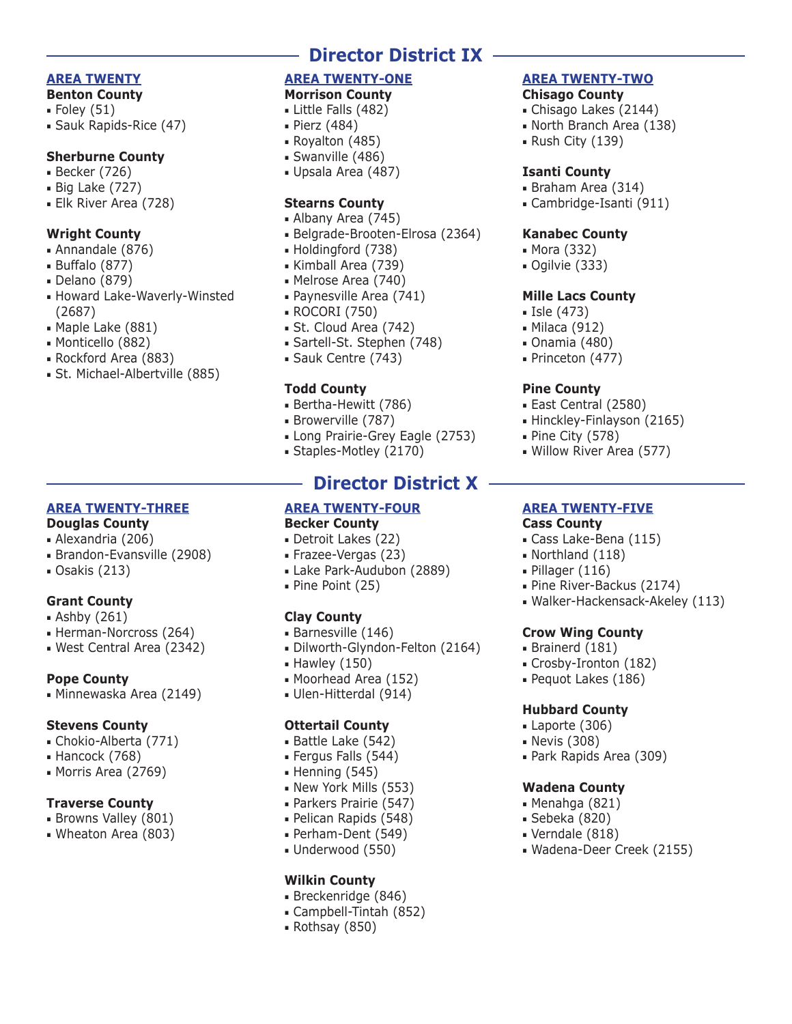#### **AREA TWENTY**

#### **Benton County**

- $\blacksquare$  Foley (51)
- Sauk Rapids-Rice (47)

#### **Sherburne County**

- Becker (726)
- Big Lake (727)
- Elk River Area (728)

#### **Wright County**

- Annandale (876)
- Buffalo (877)
- Delano (879)
- Howard Lake-Waverly-Winsted (2687)
- Maple Lake (881)
- Monticello (882)
- Rockford Area (883)
- St. Michael-Albertville (885)

### **AREA TWENTY-THREE**

#### **Douglas County**

- Alexandria (206)
- Brandon-Evansville (2908)
- Osakis (213)

#### **Grant County**

- Ashby (261)
- Herman-Norcross (264)
- West Central Area (2342)

#### **Pope County**

■ Minnewaska Area (2149)

#### **Stevens County**

- Chokio-Alberta (771)
- Hancock (768)
- Morris Area (2769)

#### **Traverse County**

- Browns Valley (801)
- Wheaton Area (803)

# **Director District IX**

#### **AREA TWENTY-ONE Morrison County**

- Little Falls (482)
- Pierz (484)
- Royalton (485)
- Swanville (486)
- Upsala Area (487)

#### **Stearns County**

- Albany Area (745)
- Belgrade-Brooten-Elrosa (2364)
- Holdingford (738)
- Kimball Area (739)
- Melrose Area (740)
- Paynesville Area (741)
- ROCORI (750)
- St. Cloud Area (742)
- Sartell-St. Stephen (748)
- Sauk Centre (743)

#### **Todd County**

- Bertha-Hewitt (786)
- Browerville (787)
- Long Prairie-Grey Eagle (2753)
- Staples-Motley (2170)

# **Director District X**

#### **AREA TWENTY-FOUR Becker County**

- Detroit Lakes (22)
- Frazee-Vergas (23)
- Lake Park-Audubon (2889)
- Pine Point (25)

#### **Clay County**

- Barnesville (146)
- Dilworth-Glyndon-Felton (2164)
- Hawley (150)
- Moorhead Area (152)
- Ulen-Hitterdal (914)

#### **Ottertail County**

- Battle Lake (542)
- Fergus Falls (544)
- $\blacksquare$  Henning (545)
- New York Mills (553)
- Parkers Prairie (547)
- Pelican Rapids (548)
- Perham-Dent (549)
- Underwood (550)

#### **Wilkin County**

- Breckenridge (846)
- Campbell-Tintah (852)
- Rothsay (850)

#### **AREA TWENTY-TWO Chisago County**

- Chisago Lakes (2144)
- 
- North Branch Area (138) ■ Rush City (139)
- 

#### **Isanti County**

- Braham Area (314)
- Cambridge-Isanti (911)

#### **Kanabec County**

- Mora (332)
- Ogilvie (333)

#### **Mille Lacs County**

- Isle (473)
- Milaca (912)
- Onamia (480)
- Princeton (477)

■ Pine City (578)

**Cass County**

■ East Central (2580) ■ Hinckley-Finlayson (2165)

■ Willow River Area (577)

**AREA TWENTY-FIVE**

■ Cass Lake-Bena (115) ■ Northland (118) ■ Pillager (116)

**Crow Wing County** ■ Brainerd (181) ■ Crosby-Ironton (182) ■ Pequot Lakes (186)

**Hubbard County** ■ Laporte (306) ■ Nevis (308)

**Wadena County** ■ Menahga (821) ■ Sebeka (820) ■ Verndale (818)

■ Park Rapids Area (309)

■ Wadena-Deer Creek (2155)

■ Pine River-Backus (2174)

■ Walker-Hackensack-Akeley (113)

#### **Pine County**